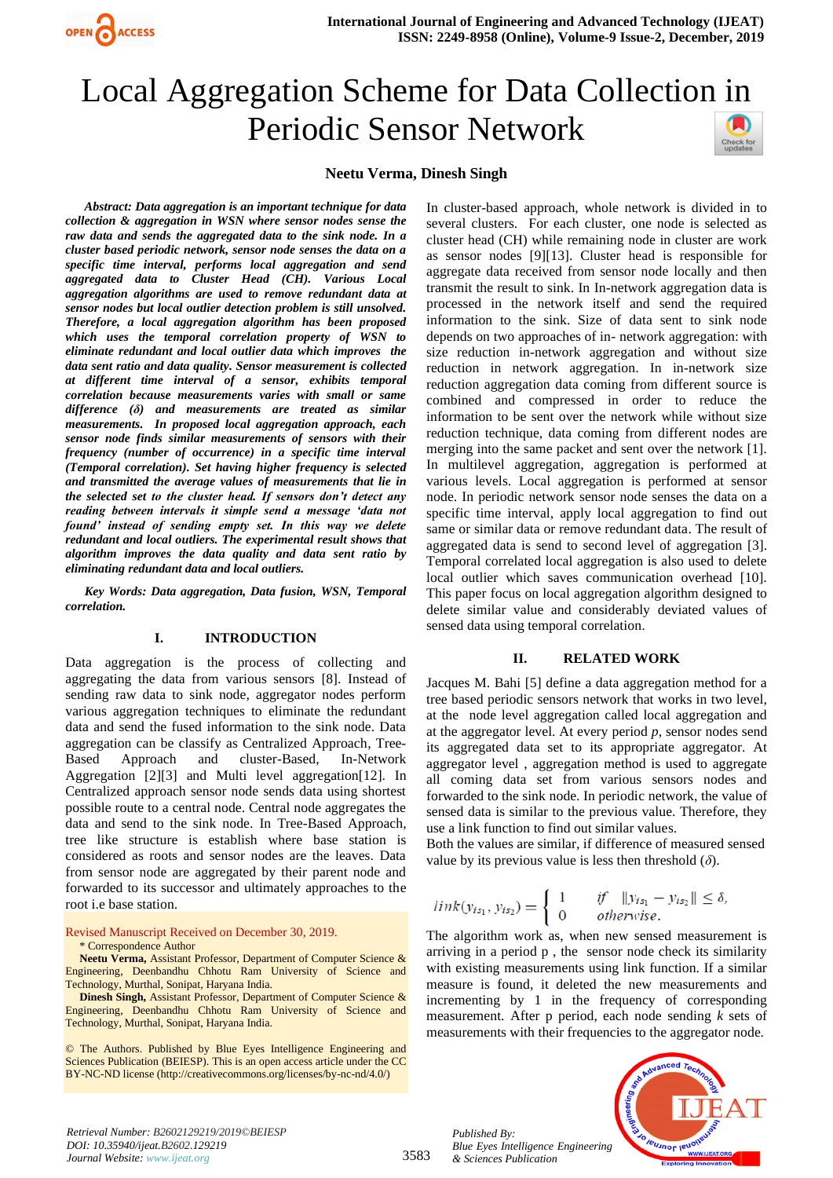

# Local Aggregation Scheme for Data Collection in Periodic Sensor Network

# **Neetu Verma, Dinesh Singh**

*Abstract: Data aggregation is an important technique for data collection & aggregation in WSN where sensor nodes sense the raw data and sends the aggregated data to the sink node. In a cluster based periodic network, sensor node senses the data on a specific time interval, performs local aggregation and send aggregated data to Cluster Head (CH). Various Local aggregation algorithms are used to remove redundant data at sensor nodes but local outlier detection problem is still unsolved. Therefore, a local aggregation algorithm has been proposed which uses the temporal correlation property of WSN to eliminate redundant and local outlier data which improves the data sent ratio and data quality. Sensor measurement is collected at different time interval of a sensor, exhibits temporal correlation because measurements varies with small or same difference (δ) and measurements are treated as similar measurements. In proposed local aggregation approach, each sensor node finds similar measurements of sensors with their frequency (number of occurrence) in a specific time interval (Temporal correlation). Set having higher frequency is selected and transmitted the average values of measurements that lie in the selected set to the cluster head. If sensors don't detect any reading between intervals it simple send a message 'data not found' instead of sending empty set. In this way we delete redundant and local outliers. The experimental result shows that algorithm improves the data quality and data sent ratio by eliminating redundant data and local outliers.*

*Key Words: Data aggregation, Data fusion, WSN, Temporal correlation.*

#### **I. INTRODUCTION**

Data aggregation is the process of collecting and aggregating the data from various sensors [8]. Instead of sending raw data to sink node, aggregator nodes perform various aggregation techniques to eliminate the redundant data and send the fused information to the sink node. Data aggregation can be classify as Centralized Approach, Tree-Based Approach and cluster-Based, In-Network Aggregation [2][3] and Multi level aggregation[12]. In Centralized approach sensor node sends data using shortest possible route to a central node. Central node aggregates the data and send to the sink node. In Tree-Based Approach, tree like structure is establish where base station is considered as roots and sensor nodes are the leaves. Data from sensor node are aggregated by their parent node and forwarded to its successor and ultimately approaches to the root i.e base station.

Revised Manuscript Received on December 30, 2019. \* Correspondence Author

**Neetu Verma,** Assistant Professor, Department of Computer Science & Engineering, Deenbandhu Chhotu Ram University of Science and Technology, Murthal, Sonipat, Haryana India.

**Dinesh Singh,** Assistant Professor, Department of Computer Science & Engineering, Deenbandhu Chhotu Ram University of Science and Technology, Murthal, Sonipat, Haryana India.

© The Authors. Published by Blue Eyes Intelligence Engineering and Sciences Publication (BEIESP). This is a[n open access](https://www.openaccess.nl/en/open-publications) article under the CC BY-NC-ND license [\(http://creativecommons.org/licenses/by-nc-nd/4.0/\)](http://creativecommons.org/licenses/by-nc-nd/4.0/)

In cluster-based approach, whole network is divided in to several clusters. For each cluster, one node is selected as cluster head (CH) while remaining node in cluster are work as sensor nodes [9][13]. Cluster head is responsible for aggregate data received from sensor node locally and then transmit the result to sink. In In-network aggregation data is processed in the network itself and send the required information to the sink. Size of data sent to sink node depends on two approaches of in- network aggregation: with size reduction in-network aggregation and without size reduction in network aggregation. In in-network size reduction aggregation data coming from different source is combined and compressed in order to reduce the information to be sent over the network while without size reduction technique, data coming from different nodes are merging into the same packet and sent over the network [1]. In multilevel aggregation, aggregation is performed at various levels. Local aggregation is performed at sensor node. In periodic network sensor node senses the data on a specific time interval, apply local aggregation to find out same or similar data or remove redundant data. The result of aggregated data is send to second level of aggregation [3]. Temporal correlated local aggregation is also used to delete local outlier which saves communication overhead [10]. This paper focus on local aggregation algorithm designed to delete similar value and considerably deviated values of sensed data using temporal correlation.

#### **II. RELATED WORK**

Jacques M. Bahi [5] define a data aggregation method for a tree based periodic sensors network that works in two level, at the node level aggregation called local aggregation and at the aggregator level. At every period *p,* sensor nodes send its aggregated data set to its appropriate aggregator. At aggregator level , aggregation method is used to aggregate all coming data set from various sensors nodes and forwarded to the sink node. In periodic network, the value of sensed data is similar to the previous value. Therefore, they use a link function to find out similar values.

Both the values are similar, if difference of measured sensed value by its previous value is less then threshold  $(\delta)$ .

$$
link(y_{is_1}, y_{is_2}) = \begin{cases} 1 & \text{if } \|y_{is_1} - y_{is_2}\| \le \delta, \\ 0 & \text{otherwise.} \end{cases}
$$

The algorithm work as, when new sensed measurement is arriving in a period p , the sensor node check its similarity with existing measurements using link function. If a similar measure is found, it deleted the new measurements and incrementing by 1 in the frequency of corresponding measurement. After p period, each node sending *k* sets of measurements with their frequencies to the aggregator node.



*Retrieval Number: B2602129219/2019©BEIESP DOI: 10.35940/ijeat.B2602.129219 Journal Website[: www.ijeat.org](http://www.ijeat.org/)*

*Published By:*

*& Sciences Publication*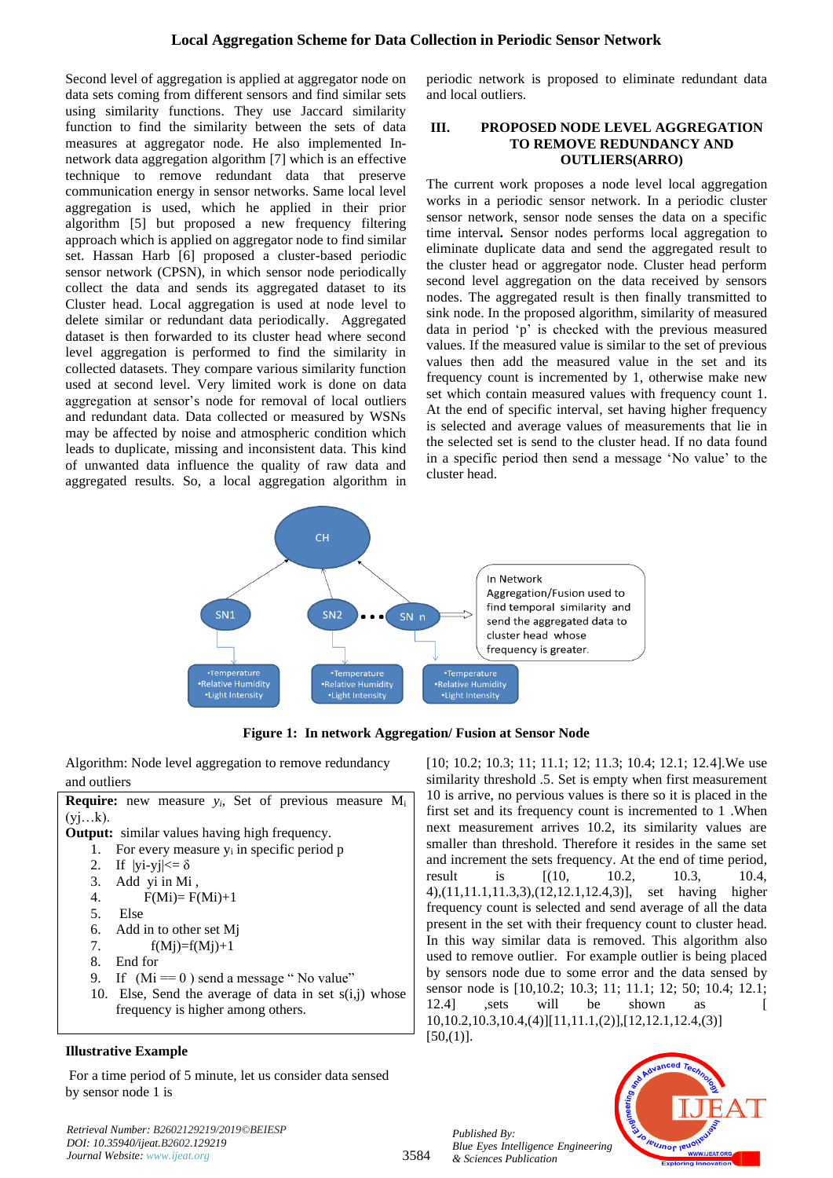Second level of aggregation is applied at aggregator node on data sets coming from different sensors and find similar sets using similarity functions. They use Jaccard similarity function to find the similarity between the sets of data measures at aggregator node. He also implemented Innetwork data aggregation algorithm [7] which is an effective technique to remove redundant data that preserve communication energy in sensor networks. Same local level aggregation is used, which he applied in their prior algorithm [5] but proposed a new frequency filtering approach which is applied on aggregator node to find similar set. Hassan Harb [6] proposed a cluster-based periodic sensor network (CPSN), in which sensor node periodically collect the data and sends its aggregated dataset to its Cluster head. Local aggregation is used at node level to delete similar or redundant data periodically. Aggregated dataset is then forwarded to its cluster head where second level aggregation is performed to find the similarity in collected datasets. They compare various similarity function used at second level. Very limited work is done on data aggregation at sensor's node for removal of local outliers and redundant data. Data collected or measured by WSNs may be affected by noise and atmospheric condition which leads to duplicate, missing and inconsistent data. This kind of unwanted data influence the quality of raw data and aggregated results. So, a local aggregation algorithm in periodic network is proposed to eliminate redundant data and local outliers.

## **III. PROPOSED NODE LEVEL AGGREGATION TO REMOVE REDUNDANCY AND OUTLIERS(ARRO)**

The current work proposes a node level local aggregation works in a periodic sensor network. In a periodic cluster sensor network, sensor node senses the data on a specific time interval*.* Sensor nodes performs local aggregation to eliminate duplicate data and send the aggregated result to the cluster head or aggregator node. Cluster head perform second level aggregation on the data received by sensors nodes. The aggregated result is then finally transmitted to sink node. In the proposed algorithm, similarity of measured data in period 'p' is checked with the previous measured values. If the measured value is similar to the set of previous values then add the measured value in the set and its frequency count is incremented by 1, otherwise make new set which contain measured values with frequency count 1. At the end of specific interval, set having higher frequency is selected and average values of measurements that lie in the selected set is send to the cluster head. If no data found in a specific period then send a message 'No value' to the cluster head.



**Figure 1: In network Aggregation/ Fusion at Sensor Node** 

Algorithm: Node level aggregation to remove redundancy and outliers

|                                                      | <b>Require:</b> new measure $y_i$ , Set of previous measure $M_i$ |  |  |  |  |  |  |  |  |  |
|------------------------------------------------------|-------------------------------------------------------------------|--|--|--|--|--|--|--|--|--|
| (yjk).                                               |                                                                   |  |  |  |  |  |  |  |  |  |
| <b>Output:</b> similar values having high frequency. |                                                                   |  |  |  |  |  |  |  |  |  |
| For every measure $y_i$ in specific period p<br>1.   |                                                                   |  |  |  |  |  |  |  |  |  |
| 2. If $ yi-yi  \leq \delta$                          |                                                                   |  |  |  |  |  |  |  |  |  |
| 3. Add yi in Mi,                                     |                                                                   |  |  |  |  |  |  |  |  |  |
|                                                      | 4. $F(Mi)=F(Mi)+1$                                                |  |  |  |  |  |  |  |  |  |
|                                                      | 5. Else                                                           |  |  |  |  |  |  |  |  |  |
|                                                      | 6. Add in to other set Mi                                         |  |  |  |  |  |  |  |  |  |
| 7.                                                   | $f(Mj)=f(Mj)+1$                                                   |  |  |  |  |  |  |  |  |  |
| 8.                                                   | End for                                                           |  |  |  |  |  |  |  |  |  |
| 9.                                                   | If $(Mi == 0)$ send a message "No value"                          |  |  |  |  |  |  |  |  |  |
|                                                      | 10. Else, Send the average of data in set $s(i,j)$ whose          |  |  |  |  |  |  |  |  |  |
|                                                      | frequency is higher among others.                                 |  |  |  |  |  |  |  |  |  |

# **Illustrative Example**

For a time period of 5 minute, let us consider data sensed by sensor node 1 is

*Retrieval Number: B2602129219/2019©BEIESP DOI: 10.35940/ijeat.B2602.129219 Journal Website[: www.ijeat.org](http://www.ijeat.org/)*

[10; 10.2; 10.3; 11; 11.1; 12; 11.3; 10.4; 12.1; 12.4].We use similarity threshold .5. Set is empty when first measurement 10 is arrive, no pervious values is there so it is placed in the first set and its frequency count is incremented to 1 .When next measurement arrives 10.2, its similarity values are smaller than threshold. Therefore it resides in the same set and increment the sets frequency. At the end of time period, result is  $[(10, 10.2, 10.3, 10.4,$ 4),(11,11.1,11.3,3),(12,12.1,12.4,3)], set having higher frequency count is selected and send average of all the data present in the set with their frequency count to cluster head. In this way similar data is removed. This algorithm also used to remove outlier. For example outlier is being placed by sensors node due to some error and the data sensed by sensor node is [10,10.2; 10.3; 11; 11.1; 12; 50; 10.4; 12.1; 12.4] , sets will be shown as [ 10,10.2,10.3,10.4,(4)][11,11.1,(2)],[12,12.1,12.4,(3)]  $[50,(1)].$ 

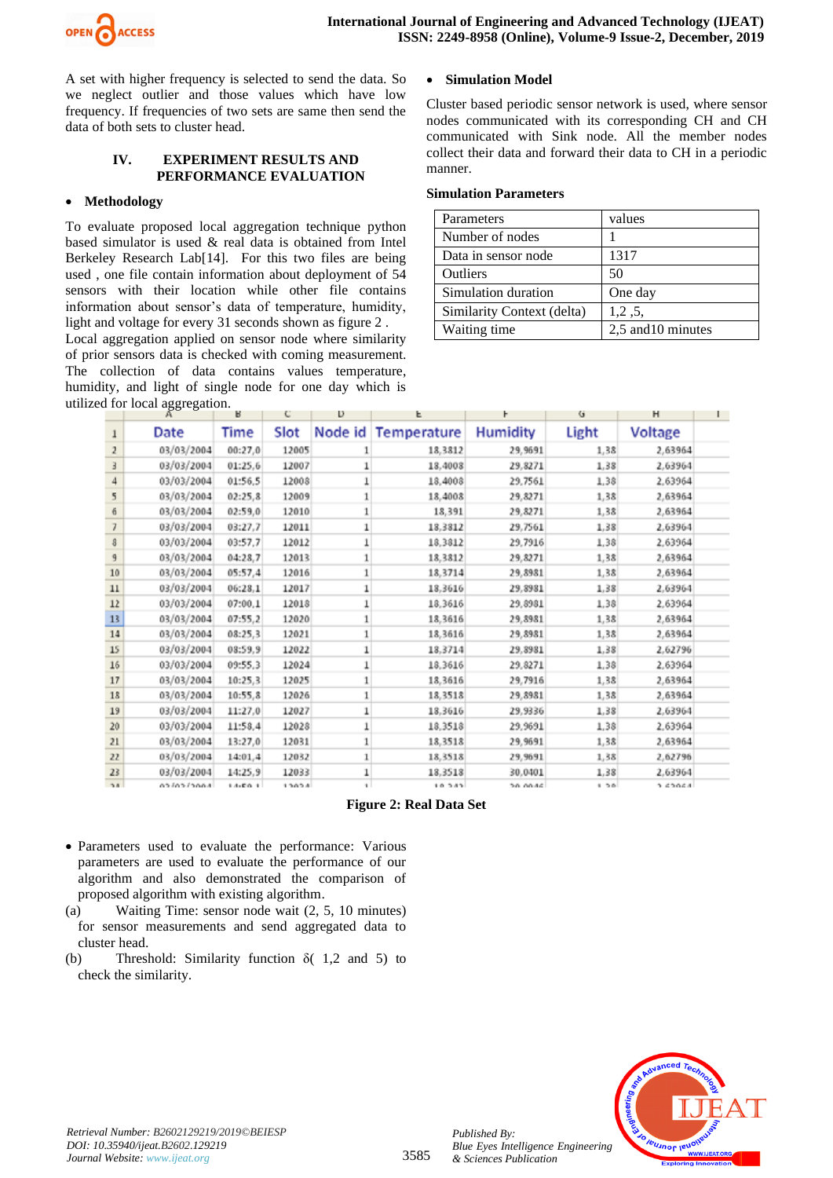

A set with higher frequency is selected to send the data. So we neglect outlier and those values which have low frequency. If frequencies of two sets are same then send the data of both sets to cluster head.

# **IV. EXPERIMENT RESULTS AND PERFORMANCE EVALUATION**

# • **Methodology**

To evaluate proposed local aggregation technique python based simulator is used & real data is obtained from Intel Berkeley Research Lab[14]. For this two files are being used , one file contain information about deployment of 54 sensors with their location while other file contains information about sensor's data of temperature, humidity, light and voltage for every 31 seconds shown as figure 2 .

Local aggregation applied on sensor node where similarity of prior sensors data is checked with coming measurement. The collection of data contains values temperature, humidity, and light of single node for one day which is utilized for local aggregation.

## • **Simulation Model**

Cluster based periodic sensor network is used, where sensor nodes communicated with its corresponding CH and CH communicated with Sink node. All the member nodes collect their data and forward their data to CH in a periodic manner.

# **Simulation Parameters**

| Parameters                 | values             |
|----------------------------|--------------------|
| Number of nodes            |                    |
| Data in sensor node        | 1317               |
| Outliers                   | 50                 |
| Simulation duration        | One day            |
| Similarity Context (delta) | 1,2,5,             |
| Waiting time               | 2,5 and 10 minutes |

|                         | $\mu$ for foculation. | в           |       | υ       | ь           |                 | G     | н       |  |
|-------------------------|-----------------------|-------------|-------|---------|-------------|-----------------|-------|---------|--|
| $\!1$                   | Date                  | Time        | Slot  | Node id | Temperature | <b>Humidity</b> | Light | Voltage |  |
| $\overline{\mathbf{2}}$ | 03/03/2004            | 00:27,0     | 12005 | 1       | 18,3812     | 29,9691         | 1,38  | 2,63964 |  |
| $\overline{3}$          | 03/03/2004            | 01:25.6     | 12007 |         | 18.4008     | 29.8271         | 1,38  | 2,63964 |  |
| 4                       | 03/03/2004            | 01:56,5     | 12008 |         | 18,4008     | 29,7561         | 1,38  | 2,63964 |  |
| 5                       | 03/03/2004            | 02:25,8     | 12009 |         | 18,4008     | 29,8271         | 1,38  | 2,63964 |  |
| 6                       | 03/03/2004            | 02:59,0     | 12010 | 1       | 18,391      | 29,8271         | 1,38  | 2,63964 |  |
| 7                       | 03/03/2004            | 03:27.7     | 12011 | 1       | 18,3812     | 29,7561         | 1.38  | 2,63964 |  |
| 8                       | 03/03/2004            | 03:57,7     | 12012 |         | 18,3812     | 29,7916         | 1,38  | 2,63964 |  |
| 9                       | 03/03/2004            | 04:28.7     | 12013 |         | 18,3812     | 29,8271         | 1,38  | 2,63964 |  |
| 10                      | 03/03/2004            | 05:57,4     | 12016 | 1       | 18,3714     | 29,8981         | 1,38  | 2,63964 |  |
| $11\,$                  | 03/03/2004            | 06:28.1     | 12017 |         | 18,3616     | 29.8981         | 1.38  | 2,63964 |  |
| 12                      | 03/03/2004            | 07:00,1     | 12018 | 1       | 18,3616     | 29,8981         | 1,38  | 2,63964 |  |
| 13                      | 03/03/2004            | 07:55,2     | 12020 |         | 18,3616     | 29,8981         | 1,38  | 2,63964 |  |
| 14                      | 03/03/2004            | 08:25,3     | 12021 | 1       | 18,3616     | 29,8981         | 1,38  | 2,63964 |  |
| 15                      | 03/03/2004            | 08:59.9     | 12022 | 1       | 18.3714     | 29.8981         | 1,38  | 2,62796 |  |
| 16                      | 03/03/2004            | 09:55.3     | 12024 | 1       | 18,3616     | 29,8271         | 1,38  | 2,63964 |  |
| 17                      | 03/03/2004            | 10:25.3     | 12025 |         | 18,3616     | 29,7916         | 1,38  | 2,63964 |  |
| 18                      | 03/03/2004            | 10:55,8     | 12026 | 1       | 18,3518     | 29,8981         | 1,38  | 2,63964 |  |
| 19                      | 03/03/2004            | 11:27.0     | 12027 | 1       | 18.3616     | 29.9336         | 1,38  | 2.63964 |  |
| 20                      | 03/03/2004            | 11:58.4     | 12028 | 1       | 18,3518     | 29,9691         | 1,38  | 2,63964 |  |
| 21                      | 03/03/2004            | 13:27.0     | 12031 | 1       | 18,3518     | 29,9691         | 1,38  | 2,63964 |  |
| 22                      | 03/03/2004            | 14:01,4     | 12032 | 1       | 18,3518     | 29,9691         | 1,38  | 2,62796 |  |
| 23                      | 03/03/2004            | 14:25.9     | 12033 |         | 18.3518     | 30.0401         | 1,38  | 2.63964 |  |
| 2.4                     | 65/65/5664            | $1.4 - 0.4$ | 13034 | ٠       | 10.545      | 56.66.44        | 56    | hanes e |  |

#### **Figure 2: Real Data Set**

- Parameters used to evaluate the performance: Various parameters are used to evaluate the performance of our algorithm and also demonstrated the comparison of proposed algorithm with existing algorithm.
- (a) Waiting Time: sensor node wait (2, 5, 10 minutes) for sensor measurements and send aggregated data to cluster head.
- (b) Threshold: Similarity function  $\delta(1.2 \text{ and } 5)$  to check the similarity.

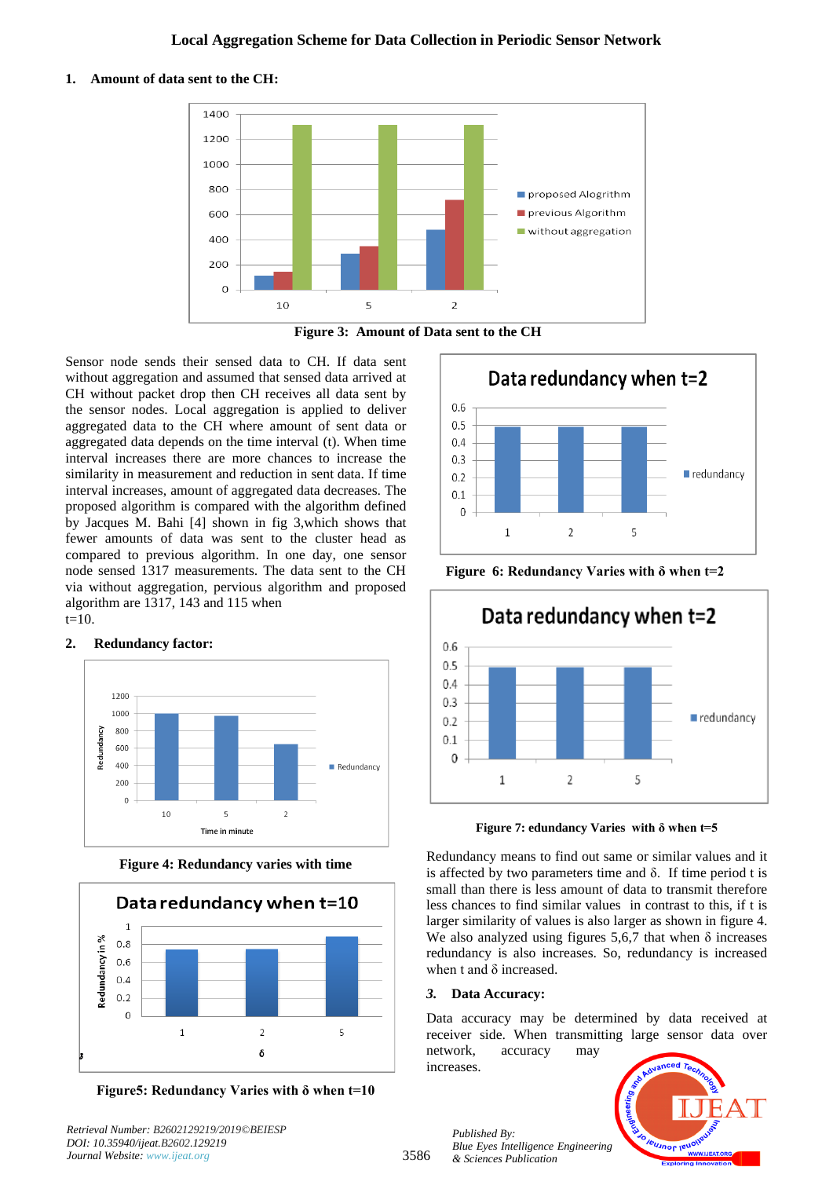# **1. Amount of data sent to the CH:**



**Figure 3: Amount of Data sent to the CH** 

Sensor node sends their sensed data to CH. If data sent without aggregation and assumed that sensed data arrived at CH without packet drop then CH receives all data sent by the sensor nodes. Local aggregation is applied to deliver aggregated data to the CH where amount of sent data or aggregated data depends on the time interval (t). When time interval increases there are more chances to increase the similarity in measurement and reduction in sent data. If time interval increases, amount of aggregated data decreases. The proposed algorithm is compared with the algorithm defined by Jacques M. Bahi [4] shown in fig 3,which shows that fewer amounts of data was sent to the cluster head as compared to previous algorithm. In one day, one sensor node sensed 1317 measurements. The data sent to the CH via without aggregation, pervious algorithm and proposed algorithm are 1317, 143 and 115 when  $t=10$ .

# **2. Redundancy factor:**



**Figure 4: Redundancy varies with time**



**Figure5: Redundancy Varies with δ when t=10**

*Retrieval Number: B2602129219/2019©BEIESP*

*DOI: 10.35940/ijeat.B2602.129219 Journal Website[: www.ijeat.org](http://www.ijeat.org/)*



**Figure 6: Redundancy Varies with δ when t=2**



**Figure 7: edundancy Varies with δ when t=5**

Redundancy means to find out same or similar values and it is affected by two parameters time and δ. If time period t is small than there is less amount of data to transmit therefore less chances to find similar values in contrast to this, if t is larger similarity of values is also larger as shown in figure 4. We also analyzed using figures 5,6,7 that when  $\delta$  increases redundancy is also increases. So, redundancy is increased when t and δ increased.

# *3.* **Data Accuracy:**

Data accuracy may be determined by data received at receiver side. When transmitting large sensor data over network, accuracy may increases.

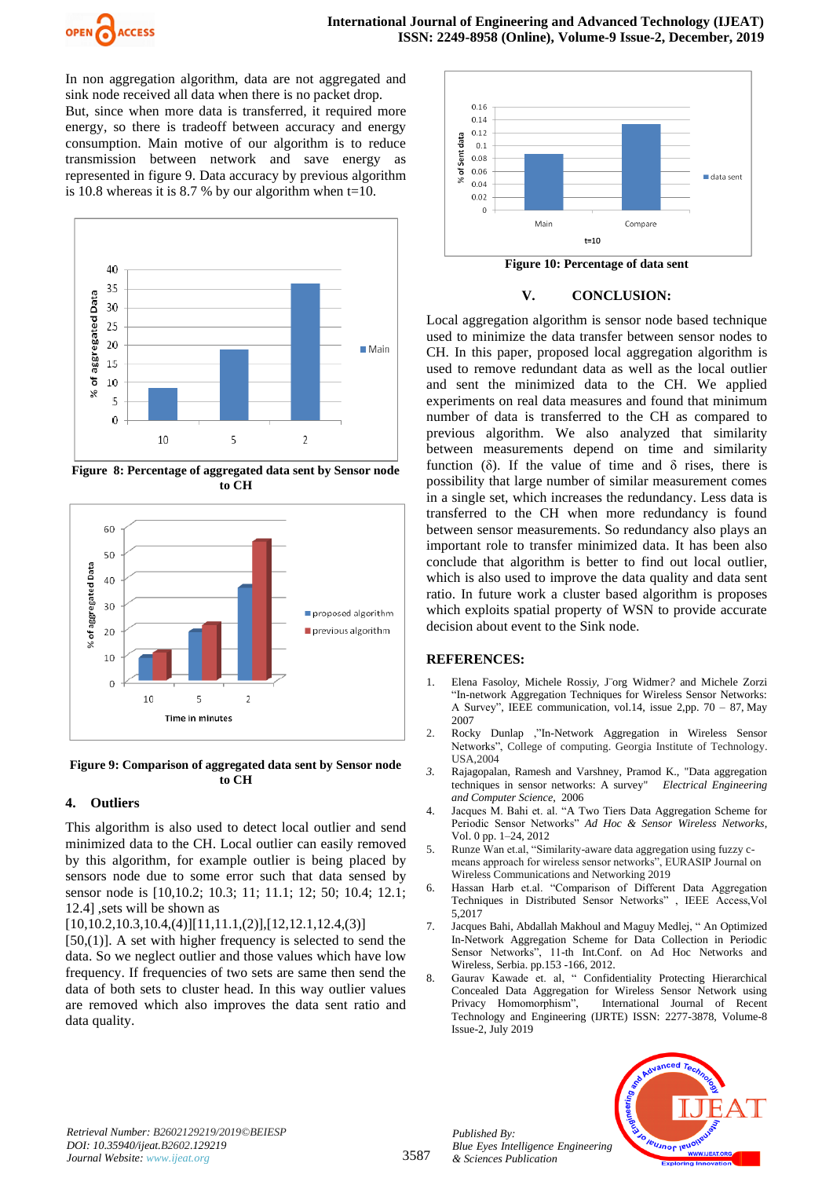

In non aggregation algorithm, data are not aggregated and sink node received all data when there is no packet drop.

But, since when more data is transferred, it required more energy, so there is tradeoff between accuracy and energy consumption. Main motive of our algorithm is to reduce transmission between network and save energy as represented in figure 9. Data accuracy by previous algorithm is 10.8 whereas it is 8.7 % by our algorithm when  $t=10$ .



**Figure 8: Percentage of aggregated data sent by Sensor node to CH**



**Figure 9: Comparison of aggregated data sent by Sensor node to CH**

#### **4. Outliers**

This algorithm is also used to detect local outlier and send minimized data to the CH. Local outlier can easily removed by this algorithm, for example outlier is being placed by sensors node due to some error such that data sensed by sensor node is [10,10.2; 10.3; 11; 11.1; 12; 50; 10.4; 12.1; 12.4] ,sets will be shown as

[10,10.2,10.3,10.4,(4)][11,11.1,(2)],[12,12.1,12.4,(3)]

 $[50, (1)]$ . A set with higher frequency is selected to send the data. So we neglect outlier and those values which have low frequency. If frequencies of two sets are same then send the data of both sets to cluster head. In this way outlier values are removed which also improves the data sent ratio and data quality.



**Figure 10: Percentage of data sent**

#### **V. CONCLUSION:**

Local aggregation algorithm is sensor node based technique used to minimize the data transfer between sensor nodes to CH. In this paper, proposed local aggregation algorithm is used to remove redundant data as well as the local outlier and sent the minimized data to the CH. We applied experiments on real data measures and found that minimum number of data is transferred to the CH as compared to previous algorithm. We also analyzed that similarity between measurements depend on time and similarity function ( $\delta$ ). If the value of time and  $\delta$  rises, there is possibility that large number of similar measurement comes in a single set, which increases the redundancy. Less data is transferred to the CH when more redundancy is found between sensor measurements. So redundancy also plays an important role to transfer minimized data. It has been also conclude that algorithm is better to find out local outlier, which is also used to improve the data quality and data sent ratio. In future work a cluster based algorithm is proposes which exploits spatial property of WSN to provide accurate decision about event to the Sink node.

#### **REFERENCES:**

- 1. Elena Fasolo*y*, Michele Rossi*y*, J¨org Widmer*?* and Michele Zorzi "In-network Aggregation Techniques for Wireless Sensor Networks: A Survey", IEEE communication, vol.14, issue 2,pp. 70 – 87, May 2007
- 2. Rocky Dunlap ,"In-Network Aggregation in Wireless Sensor Networks", College of computing. Georgia Institute of Technology. USA,2004
- *3.* Rajagopalan, Ramesh and Varshney, Pramod K., "Data aggregation techniques in sensor networks: A survey" *Electrical Engineering and Computer Science*, 2006
- 4. Jacques M. Bahi et. al. "A Two Tiers Data Aggregation Scheme for Periodic Sensor Networks" *Ad Hoc & Sensor Wireless Networks*, Vol. 0 pp. 1–24, 2012
- 5. Runze Wan et.al, "Similarity-aware data aggregation using fuzzy cmeans approach for wireless sensor networks", EURASIP Journal on Wireless Communications and Networking 2019
- 6. Hassan Harb et.al. "Comparison of Different Data Aggregation Techniques in Distributed Sensor Networks" , IEEE Access,Vol 5,2017
- 7. Jacques Bahi, Abdallah Makhoul and Maguy Medlej, " An Optimized In-Network Aggregation Scheme for Data Collection in Periodic Sensor Networks", 11-th Int.Conf. on Ad Hoc Networks and Wireless, Serbia. pp.153 -166, 2012.
- 8. Gaurav Kawade et. al, " Confidentiality Protecting Hierarchical Concealed Data Aggregation for Wireless Sensor Network using Privacy Homomorphism", International Journal of Recent Technology and Engineering (IJRTE) ISSN: 2277-3878, Volume-8 Issue-2, July 2019